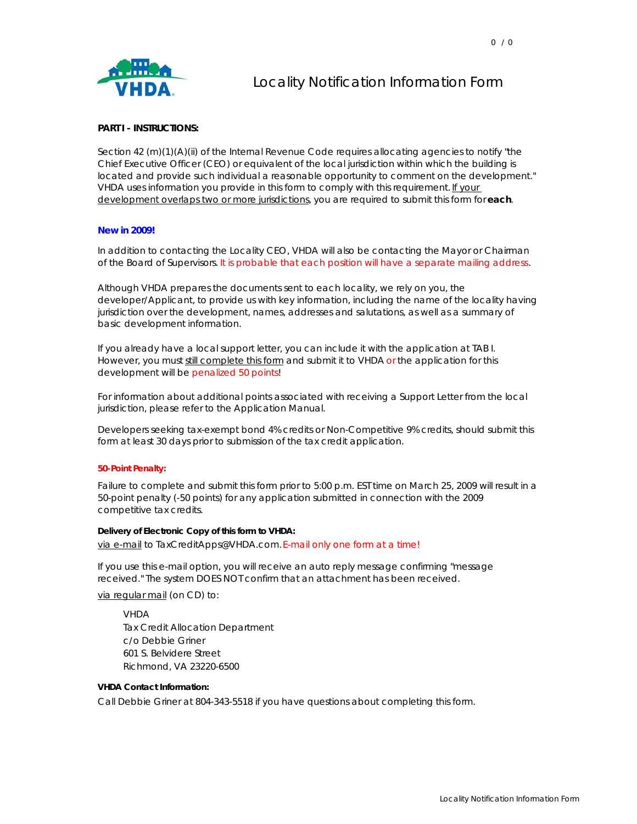# Locality Notification Information Form

### **PART I - INSTRUCTIONS:**

Section 42 (m)(1)(A)(ii) of the Internal Revenue Code requires allocating agencies to notify "the Chief Executive Officer (CEO) or equivalent of the local jurisdiction within which the building is located and provide such individual a reasonable opportunity to comment on the development." VHDA uses information you provide in this form to comply with this requirement. If your development overlaps two or more jurisdictions, you are required to submit this form for **each**.

### **New in 2009!**

In addition to contacting the Locality CEO, VHDA will also be contacting the Mayor or Chairman of the Board of Supervisors. It is probable that each position will have a separate mailing address.

Although VHDA prepares the documents sent to each locality, we rely on you, the developer/Applicant, to provide us with key information, including the name of the locality having jurisdiction over the development, names, addresses and salutations, as well as a summary of basic development information.

If you already have a local support letter, you can include it with the application at TAB I. However, you must still complete this form and submit it to VHDA or the application for this development will be penalized 50 points!

For information about additional points associated with receiving a Support Letter from the local jurisdiction, please refer to the Application Manual.

Developers seeking tax-exempt bond 4% credits or Non-Competitive 9% credits, should submit this form at least 30 days prior to submission of the tax credit application.

#### **50-Point Penalty:**

Failure to complete and submit this form prior to 5:00 p.m. EST time on March 25, 2009 will result in a 50-point penalty (-50 points) for any application submitted in connection with the 2009 competitive tax credits.

### **Delivery of Electronic Copy of this form to VHDA:**

via e-mail to TaxCreditApps@VHDA.com. E-mail only one form at a time!

If you use this e-mail option, you will receive an auto reply message confirming "message received." The system DOES NOT confirm that an attachment has been received.

via regular mail (on CD) to:

VHDA Tax Credit Allocation Department c/o Debbie Griner 601 S. Belvidere Street Richmond, VA 23220-6500

### **VHDA Contact Information:**

Call Debbie Griner at 804-343-5518 if you have questions about completing this form.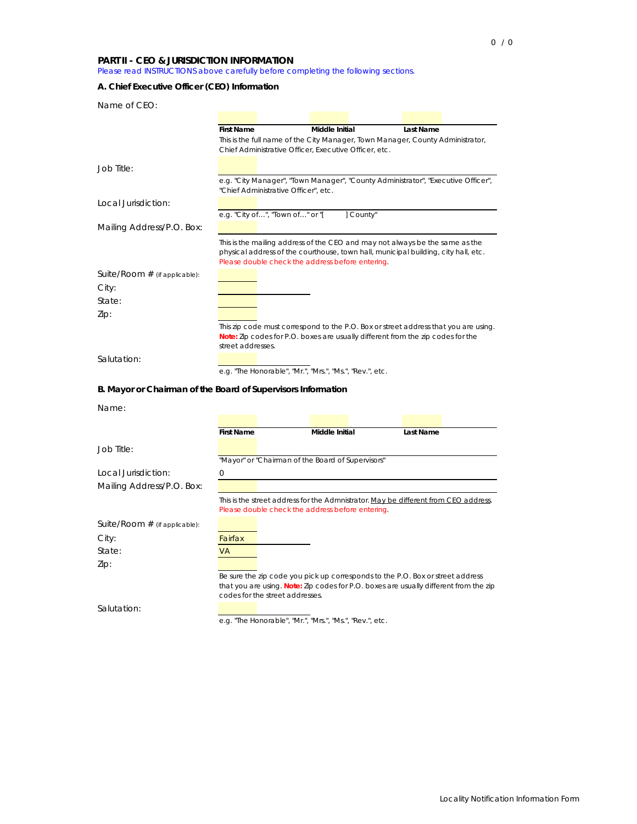## **PART II - CEO & JURISDICTION INFORMATION**

Please read INSTRUCTIONS above carefully before completing the following sections.

# **A. Chief Executive Officer (CEO) Information**

| Name of CEO:                                                 |                                                                                       |                                             |                                                          |                                                                                     |  |  |  |
|--------------------------------------------------------------|---------------------------------------------------------------------------------------|---------------------------------------------|----------------------------------------------------------|-------------------------------------------------------------------------------------|--|--|--|
|                                                              |                                                                                       |                                             |                                                          |                                                                                     |  |  |  |
|                                                              | <b>First Name</b>                                                                     |                                             | Middle Initial                                           | Last Name                                                                           |  |  |  |
|                                                              | This is the full name of the City Manager, Town Manager, County Administrator,        |                                             |                                                          |                                                                                     |  |  |  |
|                                                              |                                                                                       |                                             | Chief Administrative Officer, Executive Officer, etc.    |                                                                                     |  |  |  |
| Job Title:                                                   |                                                                                       |                                             |                                                          |                                                                                     |  |  |  |
|                                                              |                                                                                       |                                             |                                                          | e.g. "City Manager", "Town Manager", "County Administrator", "Executive Officer",   |  |  |  |
|                                                              |                                                                                       | "Chief Administrative Officer", etc.        |                                                          |                                                                                     |  |  |  |
| Local Jurisdiction:                                          |                                                                                       |                                             |                                                          |                                                                                     |  |  |  |
|                                                              |                                                                                       | e.g. "City of", "Town of" or "[             | 1 County"                                                |                                                                                     |  |  |  |
| Mailing Address/P.O. Box:                                    |                                                                                       |                                             |                                                          |                                                                                     |  |  |  |
|                                                              |                                                                                       |                                             |                                                          | This is the mailing address of the CEO and may not always be the same as the        |  |  |  |
|                                                              |                                                                                       |                                             |                                                          | physical address of the courthouse, town hall, municipal building, city hall, etc.  |  |  |  |
|                                                              |                                                                                       |                                             | Please double check the address before entering.         |                                                                                     |  |  |  |
| Suite/Room $#$ (if applicable):                              |                                                                                       |                                             |                                                          |                                                                                     |  |  |  |
| City:                                                        |                                                                                       |                                             |                                                          |                                                                                     |  |  |  |
| State:                                                       |                                                                                       |                                             |                                                          |                                                                                     |  |  |  |
| Zip:                                                         |                                                                                       |                                             |                                                          |                                                                                     |  |  |  |
|                                                              |                                                                                       |                                             |                                                          | This zip code must correspond to the P.O. Box or street address that you are using. |  |  |  |
|                                                              |                                                                                       |                                             |                                                          | Note: Zip codes for P.O. boxes are usually different from the zip codes for the     |  |  |  |
|                                                              | street addresses.                                                                     |                                             |                                                          |                                                                                     |  |  |  |
| Salutation:                                                  |                                                                                       |                                             |                                                          |                                                                                     |  |  |  |
|                                                              |                                                                                       |                                             | e.g. "The Honorable", "Mr.", "Mrs.", "Ms.", "Rev.", etc. |                                                                                     |  |  |  |
|                                                              |                                                                                       |                                             |                                                          |                                                                                     |  |  |  |
| B. Mayor or Chairman of the Board of Supervisors Information |                                                                                       |                                             |                                                          |                                                                                     |  |  |  |
| Name:                                                        |                                                                                       |                                             |                                                          |                                                                                     |  |  |  |
|                                                              |                                                                                       |                                             |                                                          |                                                                                     |  |  |  |
|                                                              | <b>First Name</b>                                                                     |                                             | <b>Middle Initial</b>                                    | Last Name                                                                           |  |  |  |
|                                                              |                                                                                       |                                             |                                                          |                                                                                     |  |  |  |
| Job Title:                                                   |                                                                                       |                                             | "Mayor" or "Chairman of the Board of Supervisors"        |                                                                                     |  |  |  |
|                                                              |                                                                                       |                                             |                                                          |                                                                                     |  |  |  |
| Local Jurisdiction:                                          | $\Omega$                                                                              |                                             |                                                          |                                                                                     |  |  |  |
| Mailing Address/P.O. Box:                                    |                                                                                       |                                             |                                                          |                                                                                     |  |  |  |
|                                                              |                                                                                       |                                             |                                                          | This is the street address for the Admnistrator. May be different from CEO address. |  |  |  |
|                                                              |                                                                                       |                                             | Please double check the address before entering.         |                                                                                     |  |  |  |
| Suite/Room $#$ (if applicable):                              |                                                                                       |                                             |                                                          |                                                                                     |  |  |  |
| City:                                                        | Fairfax                                                                               |                                             |                                                          |                                                                                     |  |  |  |
| State:                                                       | <b>VA</b>                                                                             |                                             |                                                          |                                                                                     |  |  |  |
| Zip:                                                         |                                                                                       |                                             |                                                          |                                                                                     |  |  |  |
|                                                              |                                                                                       |                                             |                                                          | Be sure the zip code you pick up corresponds to the P.O. Box or street address      |  |  |  |
|                                                              | that you are using. Note: Zip codes for P.O. boxes are usually different from the zip |                                             |                                                          |                                                                                     |  |  |  |
|                                                              |                                                                                       | codes for the street addresses.             |                                                          |                                                                                     |  |  |  |
| Salutation:                                                  |                                                                                       |                                             |                                                          |                                                                                     |  |  |  |
|                                                              |                                                                                       | e.g. "The Honorable", "Mr.", "Mrs.", "Ms.", | , "Rev.", etc                                            |                                                                                     |  |  |  |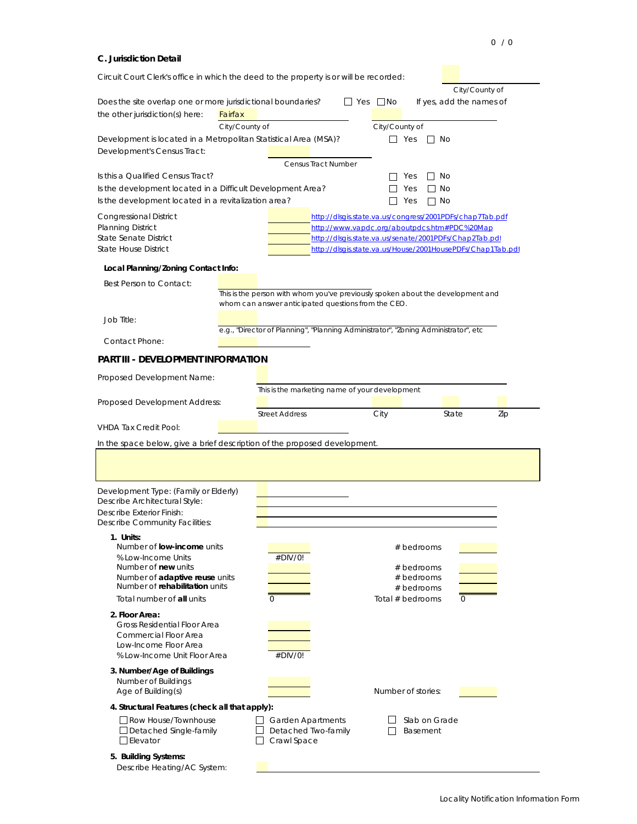### **C. Jurisdiction Detail**

| Circuit Court Clerk's office in which the deed to the property is or will be recorded: |                                                                                                                                        |                                                |                                                        |                                                            |  |  |  |  |
|----------------------------------------------------------------------------------------|----------------------------------------------------------------------------------------------------------------------------------------|------------------------------------------------|--------------------------------------------------------|------------------------------------------------------------|--|--|--|--|
|                                                                                        |                                                                                                                                        |                                                |                                                        | City/County of                                             |  |  |  |  |
| Does the site overlap one or more jurisdictional boundaries?                           |                                                                                                                                        | $\Box$ Yes $\Box$ No                           |                                                        | If yes, add the names of                                   |  |  |  |  |
| the other jurisdiction(s) here:                                                        | Fairfax                                                                                                                                |                                                |                                                        |                                                            |  |  |  |  |
| Development is located in a Metropolitan Statistical Area (MSA)?                       | City/County of                                                                                                                         |                                                | City/County of<br>$\Box$ Yes<br>$\mathbf{I}$           |                                                            |  |  |  |  |
| Development's Census Tract:                                                            |                                                                                                                                        |                                                |                                                        | No                                                         |  |  |  |  |
|                                                                                        |                                                                                                                                        | <b>Census Tract Number</b>                     |                                                        |                                                            |  |  |  |  |
| Is this a Qualified Census Tract?                                                      |                                                                                                                                        |                                                | Yes<br>$\Box$                                          | No                                                         |  |  |  |  |
| Is the development located in a Difficult Development Area?                            |                                                                                                                                        |                                                | Yes                                                    | <b>No</b>                                                  |  |  |  |  |
| Is the development located in a revitalization area?                                   |                                                                                                                                        |                                                | Yes<br>∩ No                                            |                                                            |  |  |  |  |
| <b>Congressional District</b>                                                          |                                                                                                                                        |                                                |                                                        | http://dlsgis.state.va.us/congress/2001PDFs/chap7Tab.pdf   |  |  |  |  |
| <b>Planning District</b>                                                               |                                                                                                                                        | http://www.vapdc.org/aboutpdcs.htm#PDC%20Map   |                                                        |                                                            |  |  |  |  |
| <b>State Senate District</b><br><b>State House District</b>                            |                                                                                                                                        |                                                | http://dlsgis.state.va.us/senate/2001PDFs/Chap2Tab.pdf | http://dlsgis.state.va.us/House/2001HousePDFs/Chap1Tab.pdf |  |  |  |  |
|                                                                                        |                                                                                                                                        |                                                |                                                        |                                                            |  |  |  |  |
| Local Planning/Zoning Contact Info:                                                    |                                                                                                                                        |                                                |                                                        |                                                            |  |  |  |  |
| Best Person to Contact:                                                                |                                                                                                                                        |                                                |                                                        |                                                            |  |  |  |  |
|                                                                                        | This is the person with whom you've previously spoken about the development and<br>whom can answer anticipated questions from the CEO. |                                                |                                                        |                                                            |  |  |  |  |
| Job Title:                                                                             |                                                                                                                                        |                                                |                                                        |                                                            |  |  |  |  |
|                                                                                        | e.g., "Director of Planning", "Planning Administrator", "Zoning Administrator", etc.                                                   |                                                |                                                        |                                                            |  |  |  |  |
| Contact Phone:                                                                         |                                                                                                                                        |                                                |                                                        |                                                            |  |  |  |  |
| PART III - DEVELOPMENT INFORMATION                                                     |                                                                                                                                        |                                                |                                                        |                                                            |  |  |  |  |
|                                                                                        |                                                                                                                                        |                                                |                                                        |                                                            |  |  |  |  |
| Proposed Development Name:                                                             |                                                                                                                                        |                                                |                                                        |                                                            |  |  |  |  |
| Proposed Development Address:                                                          |                                                                                                                                        | This is the marketing name of your development |                                                        |                                                            |  |  |  |  |
|                                                                                        | <b>Street Address</b>                                                                                                                  |                                                | City                                                   | State<br>Zip                                               |  |  |  |  |
| <b>VHDA Tax Credit Pool:</b>                                                           |                                                                                                                                        |                                                |                                                        |                                                            |  |  |  |  |
| In the space below, give a brief description of the proposed development.              |                                                                                                                                        |                                                |                                                        |                                                            |  |  |  |  |
|                                                                                        |                                                                                                                                        |                                                |                                                        |                                                            |  |  |  |  |
|                                                                                        |                                                                                                                                        |                                                |                                                        |                                                            |  |  |  |  |
|                                                                                        |                                                                                                                                        |                                                |                                                        |                                                            |  |  |  |  |
| Development Type: (Family or Elderly)<br>Describe Architectural Style:                 |                                                                                                                                        |                                                |                                                        |                                                            |  |  |  |  |
| Describe Exterior Finish:                                                              |                                                                                                                                        |                                                |                                                        |                                                            |  |  |  |  |
| <b>Describe Community Facilities:</b>                                                  |                                                                                                                                        |                                                |                                                        |                                                            |  |  |  |  |
| 1. Units:                                                                              |                                                                                                                                        |                                                |                                                        |                                                            |  |  |  |  |
| Number of <b>low-income</b> units<br>% Low-Income Units                                | #DIV/0!                                                                                                                                |                                                | # bedrooms                                             |                                                            |  |  |  |  |
| Number of new units                                                                    |                                                                                                                                        |                                                | # bedrooms                                             |                                                            |  |  |  |  |
| Number of adaptive reuse units                                                         |                                                                                                                                        |                                                | # bedrooms                                             |                                                            |  |  |  |  |
| Number of rehabilitation units                                                         |                                                                                                                                        |                                                | # bedrooms                                             |                                                            |  |  |  |  |
| Total number of all units                                                              | $\Omega$                                                                                                                               |                                                | Total $#$ bedrooms                                     | $\Omega$                                                   |  |  |  |  |
| 2. Floor Area:<br>Gross Residential Floor Area                                         |                                                                                                                                        |                                                |                                                        |                                                            |  |  |  |  |
| Commercial Floor Area                                                                  |                                                                                                                                        |                                                |                                                        |                                                            |  |  |  |  |
| Low-Income Floor Area                                                                  |                                                                                                                                        |                                                |                                                        |                                                            |  |  |  |  |
| % Low-Income Unit Floor Area                                                           | #DIV/0!                                                                                                                                |                                                |                                                        |                                                            |  |  |  |  |
| 3. Number/Age of Buildings                                                             |                                                                                                                                        |                                                |                                                        |                                                            |  |  |  |  |
| Number of Buildings<br>Age of Building(s)                                              |                                                                                                                                        |                                                | Number of stories:                                     |                                                            |  |  |  |  |
| 4. Structural Features (check all that apply):                                         |                                                                                                                                        |                                                |                                                        |                                                            |  |  |  |  |
| Row House/Townhouse                                                                    | $\Box$ Garden Apartments                                                                                                               |                                                | Slab on Grade                                          |                                                            |  |  |  |  |
| $\Box$ Detached Single-family                                                          | $\Box$ Detached Two-family                                                                                                             |                                                | Basement                                               |                                                            |  |  |  |  |
| $\Box$ Elevator                                                                        | $\Box$ Crawl Space                                                                                                                     |                                                |                                                        |                                                            |  |  |  |  |
| 5. Building Systems:                                                                   |                                                                                                                                        |                                                |                                                        |                                                            |  |  |  |  |
| Describe Heating/AC System:                                                            |                                                                                                                                        |                                                |                                                        |                                                            |  |  |  |  |